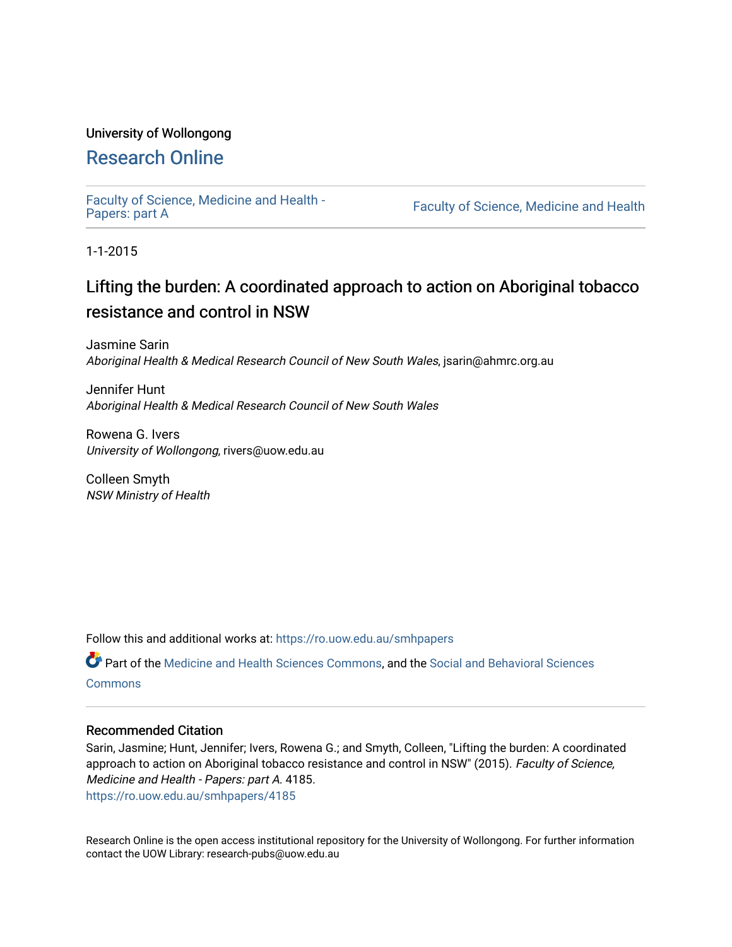#### University of Wollongong

#### [Research Online](https://ro.uow.edu.au/)

[Faculty of Science, Medicine and Health -](https://ro.uow.edu.au/smhpapers) Papers: part A

Faculty of Science, Medicine and Health

1-1-2015

## Lifting the burden: A coordinated approach to action on Aboriginal tobacco resistance and control in NSW

Jasmine Sarin Aboriginal Health & Medical Research Council of New South Wales, jsarin@ahmrc.org.au

Jennifer Hunt Aboriginal Health & Medical Research Council of New South Wales

Rowena G. Ivers University of Wollongong, rivers@uow.edu.au

Colleen Smyth NSW Ministry of Health

Follow this and additional works at: [https://ro.uow.edu.au/smhpapers](https://ro.uow.edu.au/smhpapers?utm_source=ro.uow.edu.au%2Fsmhpapers%2F4185&utm_medium=PDF&utm_campaign=PDFCoverPages) 

Part of the [Medicine and Health Sciences Commons,](http://network.bepress.com/hgg/discipline/648?utm_source=ro.uow.edu.au%2Fsmhpapers%2F4185&utm_medium=PDF&utm_campaign=PDFCoverPages) and the [Social and Behavioral Sciences](http://network.bepress.com/hgg/discipline/316?utm_source=ro.uow.edu.au%2Fsmhpapers%2F4185&utm_medium=PDF&utm_campaign=PDFCoverPages) **[Commons](http://network.bepress.com/hgg/discipline/316?utm_source=ro.uow.edu.au%2Fsmhpapers%2F4185&utm_medium=PDF&utm_campaign=PDFCoverPages)** 

#### Recommended Citation

Sarin, Jasmine; Hunt, Jennifer; Ivers, Rowena G.; and Smyth, Colleen, "Lifting the burden: A coordinated approach to action on Aboriginal tobacco resistance and control in NSW" (2015). Faculty of Science, Medicine and Health - Papers: part A. 4185. [https://ro.uow.edu.au/smhpapers/4185](https://ro.uow.edu.au/smhpapers/4185?utm_source=ro.uow.edu.au%2Fsmhpapers%2F4185&utm_medium=PDF&utm_campaign=PDFCoverPages)

Research Online is the open access institutional repository for the University of Wollongong. For further information contact the UOW Library: research-pubs@uow.edu.au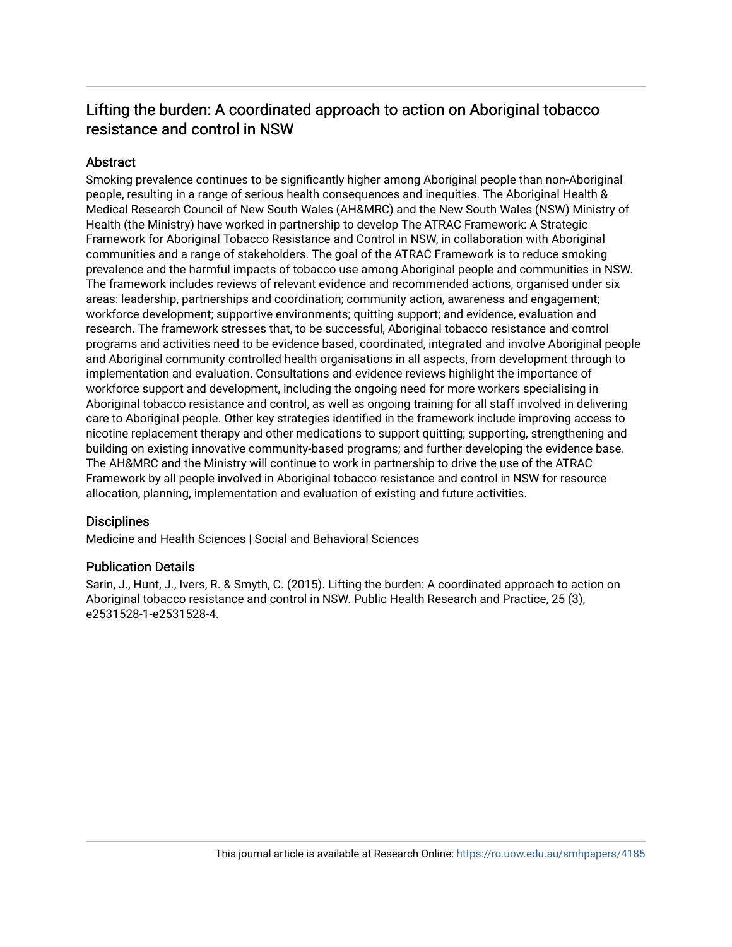#### Lifting the burden: A coordinated approach to action on Aboriginal tobacco resistance and control in NSW

#### Abstract

Smoking prevalence continues to be significantly higher among Aboriginal people than non-Aboriginal people, resulting in a range of serious health consequences and inequities. The Aboriginal Health & Medical Research Council of New South Wales (AH&MRC) and the New South Wales (NSW) Ministry of Health (the Ministry) have worked in partnership to develop The ATRAC Framework: A Strategic Framework for Aboriginal Tobacco Resistance and Control in NSW, in collaboration with Aboriginal communities and a range of stakeholders. The goal of the ATRAC Framework is to reduce smoking prevalence and the harmful impacts of tobacco use among Aboriginal people and communities in NSW. The framework includes reviews of relevant evidence and recommended actions, organised under six areas: leadership, partnerships and coordination; community action, awareness and engagement; workforce development; supportive environments; quitting support; and evidence, evaluation and research. The framework stresses that, to be successful, Aboriginal tobacco resistance and control programs and activities need to be evidence based, coordinated, integrated and involve Aboriginal people and Aboriginal community controlled health organisations in all aspects, from development through to implementation and evaluation. Consultations and evidence reviews highlight the importance of workforce support and development, including the ongoing need for more workers specialising in Aboriginal tobacco resistance and control, as well as ongoing training for all staff involved in delivering care to Aboriginal people. Other key strategies identified in the framework include improving access to nicotine replacement therapy and other medications to support quitting; supporting, strengthening and building on existing innovative community-based programs; and further developing the evidence base. The AH&MRC and the Ministry will continue to work in partnership to drive the use of the ATRAC Framework by all people involved in Aboriginal tobacco resistance and control in NSW for resource allocation, planning, implementation and evaluation of existing and future activities.

#### **Disciplines**

Medicine and Health Sciences | Social and Behavioral Sciences

#### Publication Details

Sarin, J., Hunt, J., Ivers, R. & Smyth, C. (2015). Lifting the burden: A coordinated approach to action on Aboriginal tobacco resistance and control in NSW. Public Health Research and Practice, 25 (3), e2531528-1-e2531528-4.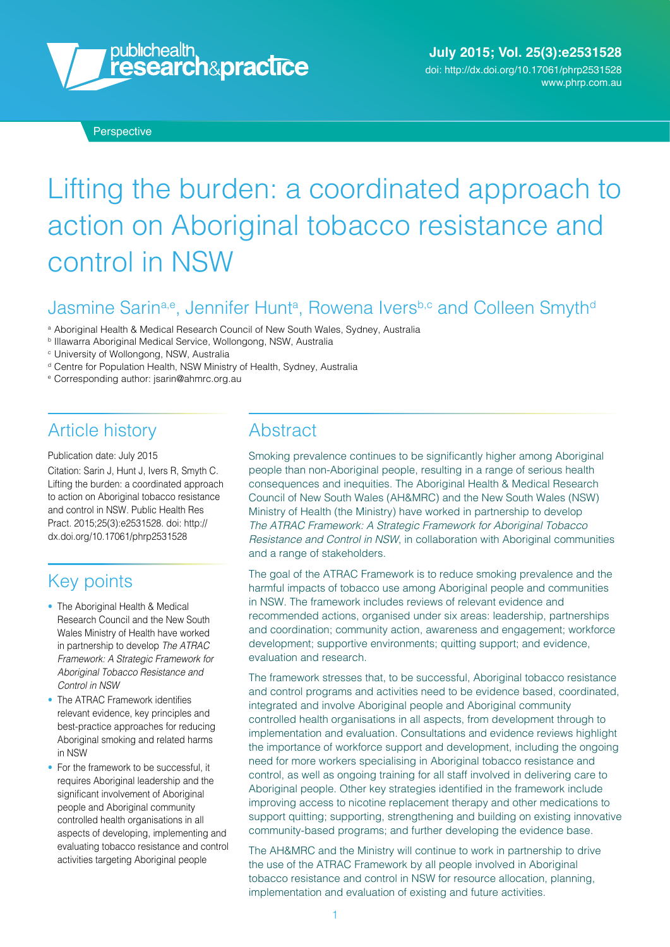

# Lifting the burden: a coordinated approach to action on Aboriginal tobacco resistance and control in NSW

### Jasmine Sarin<sup>a,e</sup>, Jennifer Hunt<sup>a</sup>, Rowena Ivers<sup>b,c</sup> and Colleen Smyth<sup>d</sup>

- <sup>a</sup> Aboriginal Health & Medical Research Council of New South Wales, Sydney, Australia
- **b Illawarra Aboriginal Medical Service, Wollongong, NSW, Australia**

<sup>c</sup> University of Wollongong, NSW, Australia

- <sup>d</sup> Centre for Population Health, NSW Ministry of Health, Sydney, Australia
- <sup>e</sup> Corresponding author: [jsarin@ahmrc.org.au](mailto:jsarin@ahmrc.org.au)

#### Article history

Publication date: July 2015 Citation: Sarin J, Hunt J, Ivers R, Smyth C. Lifting the burden: a coordinated approach to action on Aboriginal tobacco resistance and control in NSW. Public Health Res Pract. 2015;25(3):e2531528. doi: [http://](http://dx.doi.org/10.17061/phrp2531528) [dx.doi.org/10.17061/phrp2531528](http://dx.doi.org/10.17061/phrp2531528)

## Key points

- The Aboriginal Health & Medical Research Council and the New South Wales Ministry of Health have worked in partnership to develop *The ATRAC Framework: A Strategic Framework for Aboriginal Tobacco Resistance and Control in NSW*
- The ATRAC Framework identifies relevant evidence, key principles and best-practice approaches for reducing Aboriginal smoking and related harms in NSW
- For the framework to be successful, it requires Aboriginal leadership and the significant involvement of Aboriginal people and Aboriginal community controlled health organisations in all aspects of developing, implementing and evaluating tobacco resistance and control activities targeting Aboriginal people

#### **Abstract**

Smoking prevalence continues to be significantly higher among Aboriginal people than non-Aboriginal people, resulting in a range of serious health consequences and inequities. The Aboriginal Health & Medical Research Council of New South Wales (AH&MRC) and the New South Wales (NSW) Ministry of Health (the Ministry) have worked in partnership to develop *The ATRAC Framework: A Strategic Framework for Aboriginal Tobacco Resistance and Control in NSW*, in collaboration with Aboriginal communities and a range of stakeholders.

The goal of the ATRAC Framework is to reduce smoking prevalence and the harmful impacts of tobacco use among Aboriginal people and communities in NSW. The framework includes reviews of relevant evidence and recommended actions, organised under six areas: leadership, partnerships and coordination; community action, awareness and engagement; workforce development; supportive environments; quitting support; and evidence, evaluation and research.

The framework stresses that, to be successful, Aboriginal tobacco resistance and control programs and activities need to be evidence based, coordinated, integrated and involve Aboriginal people and Aboriginal community controlled health organisations in all aspects, from development through to implementation and evaluation. Consultations and evidence reviews highlight the importance of workforce support and development, including the ongoing need for more workers specialising in Aboriginal tobacco resistance and control, as well as ongoing training for all staff involved in delivering care to Aboriginal people. Other key strategies identified in the framework include improving access to nicotine replacement therapy and other medications to support quitting; supporting, strengthening and building on existing innovative community-based programs; and further developing the evidence base.

The AH&MRC and the Ministry will continue to work in partnership to drive the use of the ATRAC Framework by all people involved in Aboriginal tobacco resistance and control in NSW for resource allocation, planning, implementation and evaluation of existing and future activities.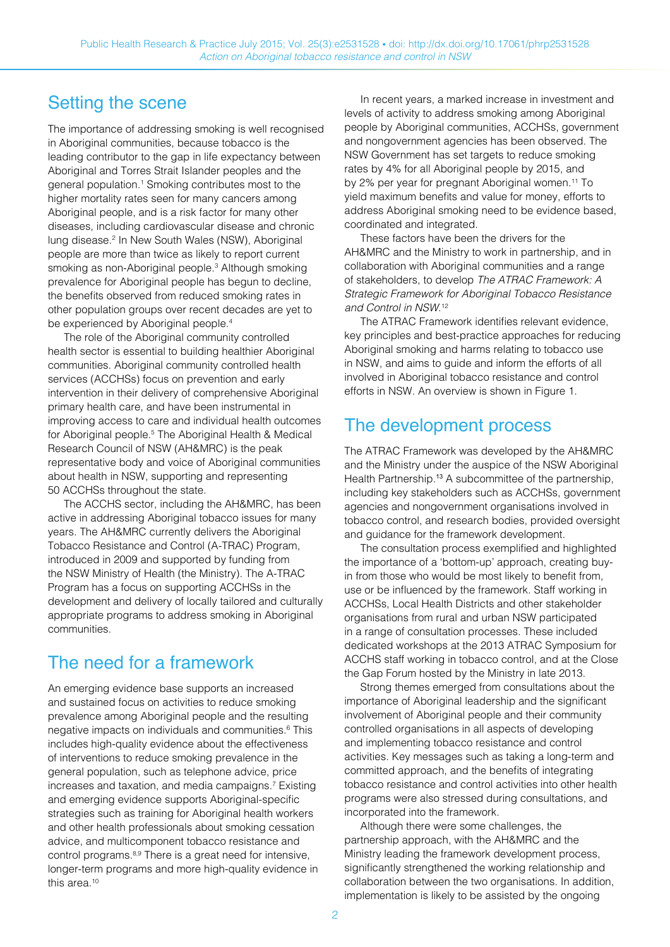#### Setting the scene

The importance of addressing smoking is well recognised in Aboriginal communities, because tobacco is the leading contributor to the gap in life expectancy between Aboriginal and Torres Strait Islander peoples and the general population.<sup>1</sup> Smoking contributes most to the higher mortality rates seen for many cancers among Aboriginal people, and is a risk factor for many other diseases, including cardiovascular disease and chronic lung disease.<sup>2</sup> In New South Wales (NSW), Aboriginal people are more than twice as likely to report current smoking as non-Aboriginal people.<sup>3</sup> Although smoking prevalence for Aboriginal people has begun to decline, the benefits observed from reduced smoking rates in other population groups over recent decades are yet to be experienced by Aboriginal people.<sup>4</sup>

The role of the Aboriginal community controlled health sector is essential to building healthier Aboriginal communities. Aboriginal community controlled health services (ACCHSs) focus on prevention and early intervention in their delivery of comprehensive Aboriginal primary health care, and have been instrumental in improving access to care and individual health outcomes for Aboriginal people.5 The Aboriginal Health & Medical Research Council of NSW (AH&MRC) is the peak representative body and voice of Aboriginal communities about health in NSW, supporting and representing 50 ACCHSs throughout the state.

The ACCHS sector, including the AH&MRC, has been active in addressing Aboriginal tobacco issues for many years. The AH&MRC currently delivers the Aboriginal Tobacco Resistance and Control (A-TRAC) Program, introduced in 2009 and supported by funding from the NSW Ministry of Health (the Ministry). The A-TRAC Program has a focus on supporting ACCHSs in the development and delivery of locally tailored and culturally appropriate programs to address smoking in Aboriginal communities.

## The need for a framework

An emerging evidence base supports an increased and sustained focus on activities to reduce smoking prevalence among Aboriginal people and the resulting negative impacts on individuals and communities.<sup>6</sup> This includes high-quality evidence about the effectiveness of interventions to reduce smoking prevalence in the general population, such as telephone advice, price increases and taxation, and media campaigns.7 Existing and emerging evidence supports Aboriginal-specific strategies such as training for Aboriginal health workers and other health professionals about smoking cessation advice, and multicomponent tobacco resistance and control programs.8,9 There is a great need for intensive, longer-term programs and more high-quality evidence in this area.<sup>10</sup>

In recent years, a marked increase in investment and levels of activity to address smoking among Aboriginal people by Aboriginal communities, ACCHSs, government and nongovernment agencies has been observed. The NSW Government has set targets to reduce smoking rates by 4% for all Aboriginal people by 2015, and by 2% per year for pregnant Aboriginal women.11 To yield maximum benefits and value for money, efforts to address Aboriginal smoking need to be evidence based, coordinated and integrated.

These factors have been the drivers for the AH&MRC and the Ministry to work in partnership, and in collaboration with Aboriginal communities and a range of stakeholders, to develop *The ATRAC Framework: A Strategic Framework for Aboriginal Tobacco Resistance and Control in NSW*. 12

The ATRAC Framework identifies relevant evidence, key principles and best-practice approaches for reducing Aboriginal smoking and harms relating to tobacco use in NSW, and aims to guide and inform the efforts of all involved in Aboriginal tobacco resistance and control efforts in NSW. An overview is shown in Figure 1.

# The development process

The ATRAC Framework was developed by the AH&MRC and the Ministry under the auspice of the NSW Aboriginal Health Partnership.<sup>13</sup> A subcommittee of the partnership, including key stakeholders such as ACCHSs, government agencies and nongovernment organisations involved in tobacco control, and research bodies, provided oversight and guidance for the framework development.

The consultation process exemplified and highlighted the importance of a 'bottom-up' approach, creating buyin from those who would be most likely to benefit from, use or be influenced by the framework. Staff working in ACCHSs, Local Health Districts and other stakeholder organisations from rural and urban NSW participated in a range of consultation processes. These included dedicated workshops at the 2013 ATRAC Symposium for ACCHS staff working in tobacco control, and at the Close the Gap Forum hosted by the Ministry in late 2013.

Strong themes emerged from consultations about the importance of Aboriginal leadership and the significant involvement of Aboriginal people and their community controlled organisations in all aspects of developing and implementing tobacco resistance and control activities. Key messages such as taking a long-term and committed approach, and the benefits of integrating tobacco resistance and control activities into other health programs were also stressed during consultations, and incorporated into the framework.

Although there were some challenges, the partnership approach, with the AH&MRC and the Ministry leading the framework development process, significantly strengthened the working relationship and collaboration between the two organisations. In addition, implementation is likely to be assisted by the ongoing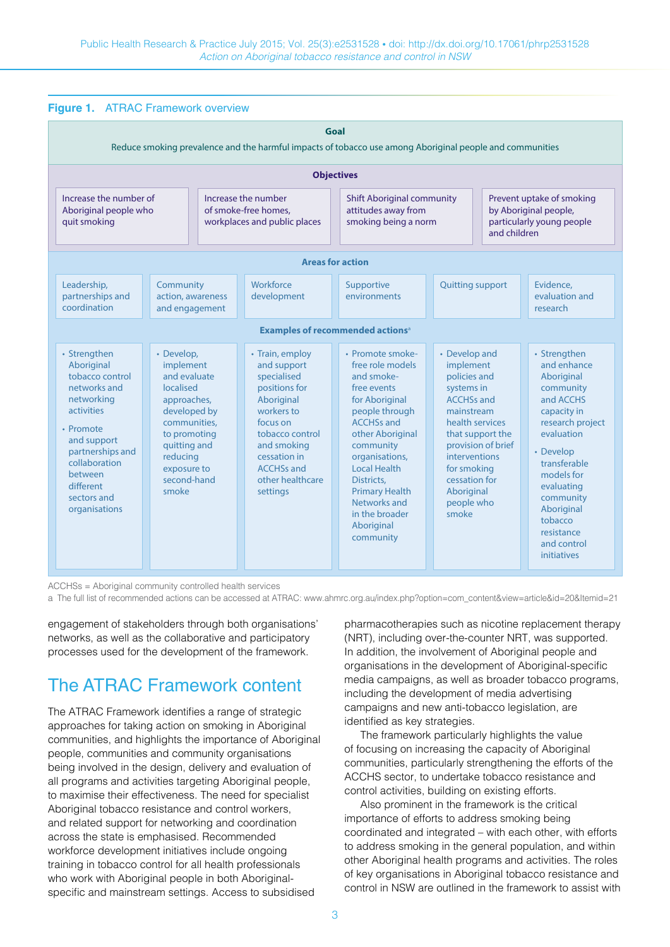| Figure 1. ATRAC Framework overview                                                                                                                                                                                        |                                                                                                                                                                                        |  |                                                                                                                                                                                                               |                                                                                                                                                                                                                                                                                                          |                                                                                                                                                                                                             |                                                                                                 |                                                                                                                                                                                                                                                                 |
|---------------------------------------------------------------------------------------------------------------------------------------------------------------------------------------------------------------------------|----------------------------------------------------------------------------------------------------------------------------------------------------------------------------------------|--|---------------------------------------------------------------------------------------------------------------------------------------------------------------------------------------------------------------|----------------------------------------------------------------------------------------------------------------------------------------------------------------------------------------------------------------------------------------------------------------------------------------------------------|-------------------------------------------------------------------------------------------------------------------------------------------------------------------------------------------------------------|-------------------------------------------------------------------------------------------------|-----------------------------------------------------------------------------------------------------------------------------------------------------------------------------------------------------------------------------------------------------------------|
| Goal<br>Reduce smoking prevalence and the harmful impacts of tobacco use among Aboriginal people and communities                                                                                                          |                                                                                                                                                                                        |  |                                                                                                                                                                                                               |                                                                                                                                                                                                                                                                                                          |                                                                                                                                                                                                             |                                                                                                 |                                                                                                                                                                                                                                                                 |
| <b>Objectives</b>                                                                                                                                                                                                         |                                                                                                                                                                                        |  |                                                                                                                                                                                                               |                                                                                                                                                                                                                                                                                                          |                                                                                                                                                                                                             |                                                                                                 |                                                                                                                                                                                                                                                                 |
| Increase the number of<br>Aboriginal people who<br>quit smoking                                                                                                                                                           |                                                                                                                                                                                        |  | Increase the number<br>of smoke-free homes.<br>workplaces and public places                                                                                                                                   | <b>Shift Aboriginal community</b><br>attitudes away from<br>smoking being a norm                                                                                                                                                                                                                         |                                                                                                                                                                                                             | Prevent uptake of smoking<br>by Aboriginal people,<br>particularly young people<br>and children |                                                                                                                                                                                                                                                                 |
| <b>Areas for action</b>                                                                                                                                                                                                   |                                                                                                                                                                                        |  |                                                                                                                                                                                                               |                                                                                                                                                                                                                                                                                                          |                                                                                                                                                                                                             |                                                                                                 |                                                                                                                                                                                                                                                                 |
| Leadership,<br>partnerships and<br>coordination                                                                                                                                                                           | Community<br>action, awareness<br>and engagement                                                                                                                                       |  | Workforce<br>development                                                                                                                                                                                      | Supportive<br>environments                                                                                                                                                                                                                                                                               | <b>Quitting support</b>                                                                                                                                                                                     |                                                                                                 | Evidence,<br>evaluation and<br>research                                                                                                                                                                                                                         |
| <b>Examples of recommended actions<sup>a</sup></b>                                                                                                                                                                        |                                                                                                                                                                                        |  |                                                                                                                                                                                                               |                                                                                                                                                                                                                                                                                                          |                                                                                                                                                                                                             |                                                                                                 |                                                                                                                                                                                                                                                                 |
| • Strengthen<br>Aboriginal<br>tobacco control<br>networks and<br>networking<br>activities<br>• Promote<br>and support<br>partnerships and<br>collaboration<br><b>between</b><br>different<br>sectors and<br>organisations | • Develop,<br>implement<br>and evaluate<br>localised<br>approaches,<br>developed by<br>communities,<br>to promoting<br>quitting and<br>reducing<br>exposure to<br>second-hand<br>smoke |  | • Train, employ<br>and support<br>specialised<br>positions for<br>Aboriginal<br>workers to<br>focus on<br>tobacco control<br>and smoking<br>cessation in<br><b>ACCHSs and</b><br>other healthcare<br>settings | • Promote smoke-<br>free role models<br>and smoke-<br>free events<br>for Aboriginal<br>people through<br><b>ACCHSs and</b><br>other Aboriginal<br>community<br>organisations,<br><b>Local Health</b><br>Districts.<br><b>Primary Health</b><br>Networks and<br>in the broader<br>Aboriginal<br>community | • Develop and<br>implement<br>policies and<br>systems in<br><b>ACCHSs and</b><br>mainstream<br>health services<br><b>interventions</b><br>for smoking<br>cessation for<br>Aboriginal<br>people who<br>smoke | that support the<br>provision of brief                                                          | • Strengthen<br>and enhance<br>Aboriginal<br>community<br>and ACCHS<br>capacity in<br>research project<br>evaluation<br>• Develop<br>transferable<br>models for<br>evaluating<br>community<br>Aboriginal<br>tobacco<br>resistance<br>and control<br>initiatives |

ACCHSs = Aboriginal community controlled health services

a The full list of recommended actions can be accessed at ATRAC: [www.ahmrc.org.au/index.php?option=com\\_content&view=article&id=20&Itemid=21](http://www.ahmrc.org.au/index.php?option=com_content&view=article&id=20&Itemid=21)

engagement of stakeholders through both organisations' networks, as well as the collaborative and participatory processes used for the development of the framework.

## The ATRAC Framework content

The ATRAC Framework identifies a range of strategic approaches for taking action on smoking in Aboriginal communities, and highlights the importance of Aboriginal people, communities and community organisations being involved in the design, delivery and evaluation of all programs and activities targeting Aboriginal people, to maximise their effectiveness. The need for specialist Aboriginal tobacco resistance and control workers, and related support for networking and coordination across the state is emphasised. Recommended workforce development initiatives include ongoing training in tobacco control for all health professionals who work with Aboriginal people in both Aboriginalspecific and mainstream settings. Access to subsidised

pharmacotherapies such as nicotine replacement therapy (NRT), including over-the-counter NRT, was supported. In addition, the involvement of Aboriginal people and organisations in the development of Aboriginal-specific media campaigns, as well as broader tobacco programs, including the development of media advertising campaigns and new anti-tobacco legislation, are identified as key strategies.

The framework particularly highlights the value of focusing on increasing the capacity of Aboriginal communities, particularly strengthening the efforts of the ACCHS sector, to undertake tobacco resistance and control activities, building on existing efforts.

Also prominent in the framework is the critical importance of efforts to address smoking being coordinated and integrated – with each other, with efforts to address smoking in the general population, and within other Aboriginal health programs and activities. The roles of key organisations in Aboriginal tobacco resistance and control in NSW are outlined in the framework to assist with